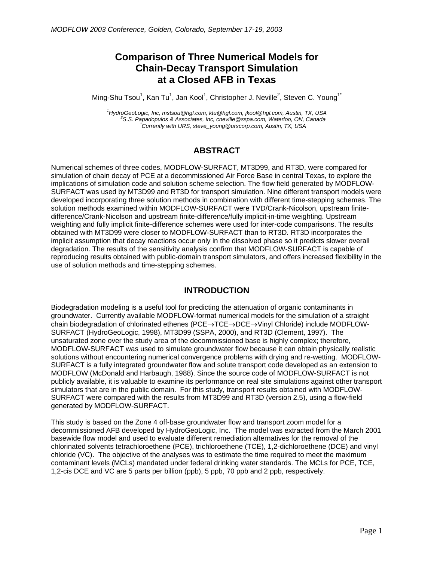# **Comparison of Three Numerical Models for Chain-Decay Transport Simulation at a Closed AFB in Texas**

Ming-Shu Tsou $^1$ , Kan Tu $^1$ , Jan Kool $^1$ , Christopher J. Neville $^2$ , Steven C. Young $^{1^\ast}$ 

*1 HydroGeoLogic, Inc, mstsou@hgl.com, ktu@hgl.com, jkool@hgl.com, Austin, TX, USA 2 S.S. Papadopulos & Associates, Inc, cneville@sspa.com, Waterloo, ON, Canada \* Currently with URS, steve\_young@urscorp.com, Austin, TX, USA* 

## **ABSTRACT**

Numerical schemes of three codes, MODFLOW-SURFACT, MT3D99, and RT3D, were compared for simulation of chain decay of PCE at a decommissioned Air Force Base in central Texas, to explore the implications of simulation code and solution scheme selection. The flow field generated by MODFLOW-SURFACT was used by MT3D99 and RT3D for transport simulation. Nine different transport models were developed incorporating three solution methods in combination with different time-stepping schemes. The solution methods examined within MODFLOW-SURFACT were TVD/Crank-Nicolson, upstream finitedifference/Crank-Nicolson and upstream finite-difference/fully implicit-in-time weighting. Upstream weighting and fully implicit finite-difference schemes were used for inter-code comparisons. The results obtained with MT3D99 were closer to MODFLOW-SURFACT than to RT3D. RT3D incorporates the implicit assumption that decay reactions occur only in the dissolved phase so it predicts slower overall degradation. The results of the sensitivity analysis confirm that MODFLOW-SURFACT is capable of reproducing results obtained with public-domain transport simulators, and offers increased flexibility in the use of solution methods and time-stepping schemes.

## **INTRODUCTION**

Biodegradation modeling is a useful tool for predicting the attenuation of organic contaminants in groundwater. Currently available MODFLOW-format numerical models for the simulation of a straight chain biodegradation of chlorinated ethenes (PCE→TCE→DCE→Vinyl Chloride) include MODFLOW-SURFACT (HydroGeoLogic, 1998), MT3D99 (SSPA, 2000), and RT3D (Clement, 1997). The unsaturated zone over the study area of the decommissioned base is highly complex; therefore, MODFLOW-SURFACT was used to simulate groundwater flow because it can obtain physically realistic solutions without encountering numerical convergence problems with drying and re-wetting. MODFLOW-SURFACT is a fully integrated groundwater flow and solute transport code developed as an extension to MODFLOW (McDonald and Harbaugh, 1988). Since the source code of MODFLOW-SURFACT is not publicly available, it is valuable to examine its performance on real site simulations against other transport simulators that are in the public domain. For this study, transport results obtained with MODFLOW-SURFACT were compared with the results from MT3D99 and RT3D (version 2.5), using a flow-field generated by MODFLOW-SURFACT.

This study is based on the Zone 4 off-base groundwater flow and transport zoom model for a decommissioned AFB developed by HydroGeoLogic, Inc. The model was extracted from the March 2001 basewide flow model and used to evaluate different remediation alternatives for the removal of the chlorinated solvents tetrachloroethene (PCE), trichloroethene (TCE), 1,2-dichloroethene (DCE) and vinyl chloride (VC). The objective of the analyses was to estimate the time required to meet the maximum contaminant levels (MCLs) mandated under federal drinking water standards. The MCLs for PCE, TCE, 1,2-cis DCE and VC are 5 parts per billion (ppb), 5 ppb, 70 ppb and 2 ppb, respectively.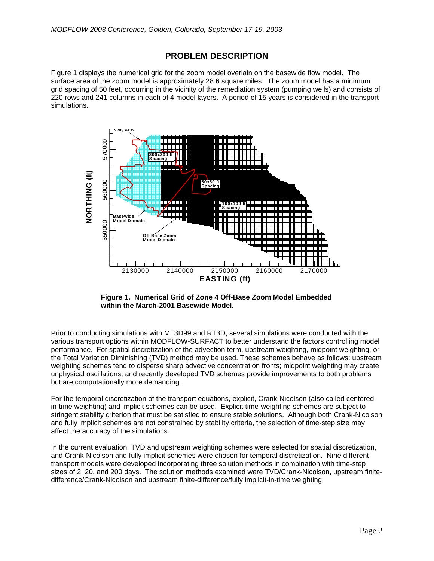#### **PROBLEM DESCRIPTION**

Figure 1 displays the numerical grid for the zoom model overlain on the basewide flow model. The surface area of the zoom model is approximately 28.6 square miles. The zoom model has a minimum grid spacing of 50 feet, occurring in the vicinity of the remediation system (pumping wells) and consists of 220 rows and 241 columns in each of 4 model layers. A period of 15 years is considered in the transport simulations.



**Figure 1. Numerical Grid of Zone 4 Off-Base Zoom Model Embedded within the March-2001 Basewide Model.** 

Prior to conducting simulations with MT3D99 and RT3D, several simulations were conducted with the various transport options within MODFLOW-SURFACT to better understand the factors controlling model performance. For spatial discretization of the advection term, upstream weighting, midpoint weighting, or the Total Variation Diminishing (TVD) method may be used. These schemes behave as follows: upstream weighting schemes tend to disperse sharp advective concentration fronts; midpoint weighting may create unphysical oscillations; and recently developed TVD schemes provide improvements to both problems but are computationally more demanding.

For the temporal discretization of the transport equations, explicit, Crank-Nicolson (also called centeredin-time weighting) and implicit schemes can be used. Explicit time-weighting schemes are subject to stringent stability criterion that must be satisfied to ensure stable solutions. Although both Crank-Nicolson and fully implicit schemes are not constrained by stability criteria, the selection of time-step size may affect the accuracy of the simulations.

In the current evaluation, TVD and upstream weighting schemes were selected for spatial discretization, and Crank-Nicolson and fully implicit schemes were chosen for temporal discretization. Nine different transport models were developed incorporating three solution methods in combination with time-step sizes of 2, 20, and 200 days. The solution methods examined were TVD/Crank-Nicolson, upstream finitedifference/Crank-Nicolson and upstream finite-difference/fully implicit-in-time weighting.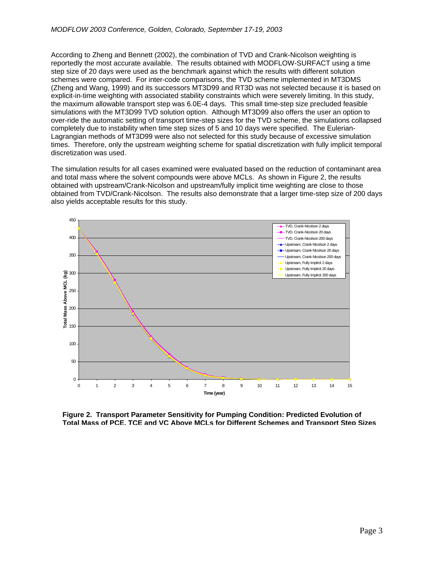According to Zheng and Bennett (2002), the combination of TVD and Crank-Nicolson weighting is reportedly the most accurate available. The results obtained with MODFLOW-SURFACT using a time step size of 20 days were used as the benchmark against which the results with different solution schemes were compared. For inter-code comparisons, the TVD scheme implemented in MT3DMS (Zheng and Wang, 1999) and its successors MT3D99 and RT3D was not selected because it is based on explicit-in-time weighting with associated stability constraints which were severely limiting. In this study, the maximum allowable transport step was 6.0E-4 days. This small time-step size precluded feasible simulations with the MT3D99 TVD solution option. Although MT3D99 also offers the user an option to over-ride the automatic setting of transport time-step sizes for the TVD scheme, the simulations collapsed completely due to instability when time step sizes of 5 and 10 days were specified. The Eulerian-Lagrangian methods of MT3D99 were also not selected for this study because of excessive simulation times. Therefore, only the upstream weighting scheme for spatial discretization with fully implicit temporal discretization was used.

The simulation results for all cases examined were evaluated based on the reduction of contaminant area and total mass where the solvent compounds were above MCLs. As shown in Figure 2, the results obtained with upstream/Crank-Nicolson and upstream/fully implicit time weighting are close to those obtained from TVD/Crank-Nicolson. The results also demonstrate that a larger time-step size of 200 days also yields acceptable results for this study.



**Figure 2. Transport Parameter Sensitivity for Pumping Condition: Predicted Evolution of Total Mass of PCE, TCE and VC Above MCLs for Different Schemes and Transport Step Sizes**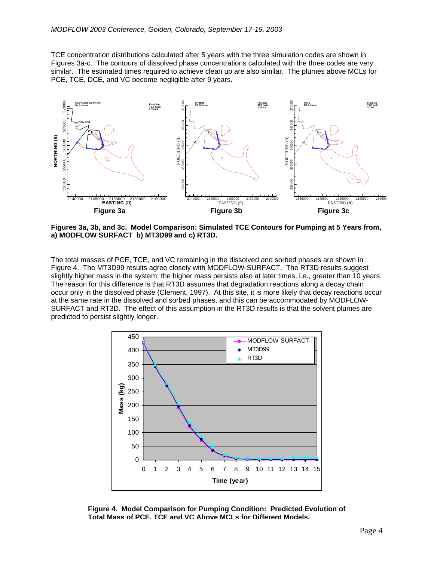TCE concentration distributions calculated after 5 years with the three simulation codes are shown in Figures 3a-c. The contours of dissolved phase concentrations calculated with the three codes are very similar. The estimated times required to achieve clean up are also similar. The plumes above MCLs for PCE, TCE, DCE, and VC become negligible after 9 years.



**Figures 3a, 3b, and 3c. Model Comparison: Simulated TCE Contours for Pumping at 5 Years from, a) MODFLOW SURFACT b) MT3D99 and c) RT3D.** 

The total masses of PCE, TCE, and VC remaining in the dissolved and sorbed phases are shown in Figure 4. The MT3D99 results agree closely with MODFLOW-SURFACT. The RT3D results suggest slightly higher mass in the system; the higher mass persists also at later times, i.e., greater than 10 years. The reason for this difference is that RT3D assumes that degradation reactions along a decay chain occur only in the dissolved phase (Clement, 1997). At this site, it is more likely that decay reactions occur at the same rate in the dissolved and sorbed phases, and this can be accommodated by MODFLOW-SURFACT and RT3D. The effect of this assumption in the RT3D results is that the solvent plumes are predicted to persist slightly longer.



**Figure 4. Model Comparison for Pumping Condition: Predicted Evolution of Total Mass of PCE, TCE and VC Above MCLs for Different Models.**